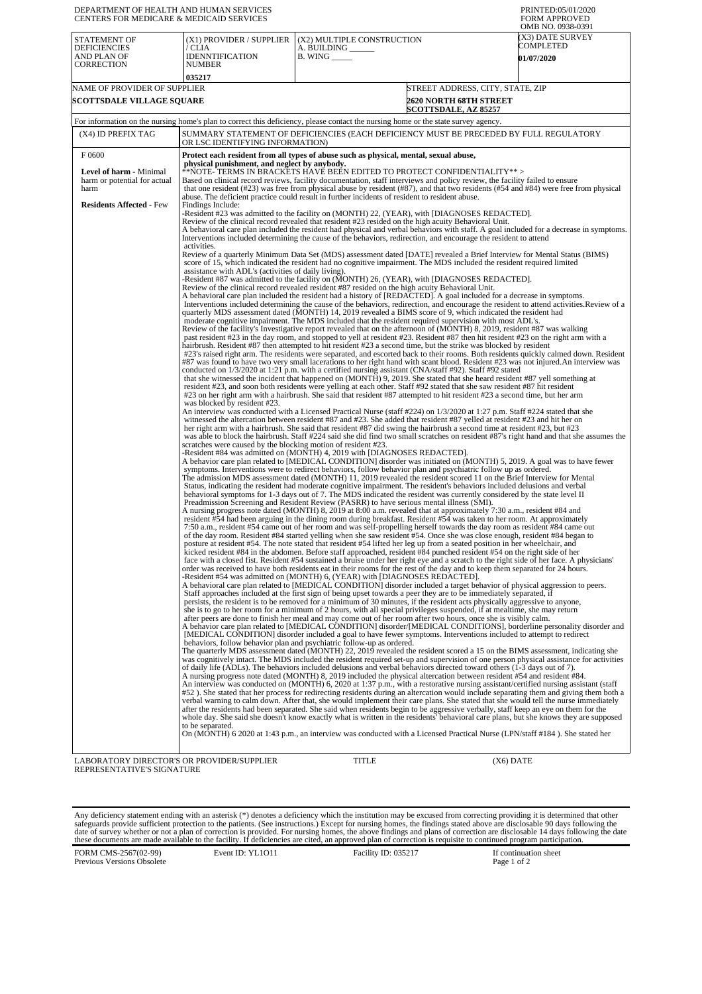| DEPARTMENT OF HEALTH AND HUMAN SERVICES<br>CENTERS FOR MEDICARE & MEDICAID SERVICES                                                                       | PRINTED:05/01/2020<br>FORM APPROVED<br>OMB NO. 0938-0391                                                                                                                                                                                                                                                                                                                                                                                                                                                                                                                                                                                                                                                                                                                                                                                                                                                                                                                                                                                                                                                                                                                                                                                                                                                                                                                                                                                                                                                                                                                                                                                                                                                                                                                                                                                                                                                                                                                                                                                                                                                                                                                                                                                                                                                                                                                                                                                                                                                                                                                                                                                                                                                                                                                                                                                                                                                                                                                                                                                                                                                                                                                                                                                                                                                                                                                                                                                                                                                                                                                                                                                                                                                                                                                                                                                                                                                                                                                                                                                                                                                                                                                                                                                                                                                                                                                                                                                                                                                                                                                                                                                                                                                                                                                                                                                                                                                                                                                                                                                                                                                                                                                                                                                                                                                                                                                                                                                                                                                                                                                                                                                                                                                                                                                                                                                                                                                                                                                                                                                                                                                                                                                                                                                                                                                                                                                                                                                                                                                                                                                                                                                                                                                                                                                                                                                                                                                                                                                                                                                                                                                                                                                                                                                                                                                                                                                                                                                                                                                                                                                                                                                                                                                                                                                                                                                                                                                                                                                                                                                                                                                                                                                                                                                                                                                                                                                                   |                                                                                                  |                                                    |  |  |  |
|-----------------------------------------------------------------------------------------------------------------------------------------------------------|--------------------------------------------------------------------------------------------------------------------------------------------------------------------------------------------------------------------------------------------------------------------------------------------------------------------------------------------------------------------------------------------------------------------------------------------------------------------------------------------------------------------------------------------------------------------------------------------------------------------------------------------------------------------------------------------------------------------------------------------------------------------------------------------------------------------------------------------------------------------------------------------------------------------------------------------------------------------------------------------------------------------------------------------------------------------------------------------------------------------------------------------------------------------------------------------------------------------------------------------------------------------------------------------------------------------------------------------------------------------------------------------------------------------------------------------------------------------------------------------------------------------------------------------------------------------------------------------------------------------------------------------------------------------------------------------------------------------------------------------------------------------------------------------------------------------------------------------------------------------------------------------------------------------------------------------------------------------------------------------------------------------------------------------------------------------------------------------------------------------------------------------------------------------------------------------------------------------------------------------------------------------------------------------------------------------------------------------------------------------------------------------------------------------------------------------------------------------------------------------------------------------------------------------------------------------------------------------------------------------------------------------------------------------------------------------------------------------------------------------------------------------------------------------------------------------------------------------------------------------------------------------------------------------------------------------------------------------------------------------------------------------------------------------------------------------------------------------------------------------------------------------------------------------------------------------------------------------------------------------------------------------------------------------------------------------------------------------------------------------------------------------------------------------------------------------------------------------------------------------------------------------------------------------------------------------------------------------------------------------------------------------------------------------------------------------------------------------------------------------------------------------------------------------------------------------------------------------------------------------------------------------------------------------------------------------------------------------------------------------------------------------------------------------------------------------------------------------------------------------------------------------------------------------------------------------------------------------------------------------------------------------------------------------------------------------------------------------------------------------------------------------------------------------------------------------------------------------------------------------------------------------------------------------------------------------------------------------------------------------------------------------------------------------------------------------------------------------------------------------------------------------------------------------------------------------------------------------------------------------------------------------------------------------------------------------------------------------------------------------------------------------------------------------------------------------------------------------------------------------------------------------------------------------------------------------------------------------------------------------------------------------------------------------------------------------------------------------------------------------------------------------------------------------------------------------------------------------------------------------------------------------------------------------------------------------------------------------------------------------------------------------------------------------------------------------------------------------------------------------------------------------------------------------------------------------------------------------------------------------------------------------------------------------------------------------------------------------------------------------------------------------------------------------------------------------------------------------------------------------------------------------------------------------------------------------------------------------------------------------------------------------------------------------------------------------------------------------------------------------------------------------------------------------------------------------------------------------------------------------------------------------------------------------------------------------------------------------------------------------------------------------------------------------------------------------------------------------------------------------------------------------------------------------------------------------------------------------------------------------------------------------------------------------------------------------------------------------------------------------------------------------------------------------------------------------------------------------------------------------------------------------------------------------------------------------------------------------------------------------------------------------------------------------------------------------------------------------------------------------------------------------------------------------------------------------------------------------------------------------------------------------------------------------------------------------------------------------------------------------------------------------------------------------------------------------------------------------------------------------------------------------------------------------------------------------------------------------------------------------------------------------------------------------------------------------------------------------------------------------------------------------------------------------------------------------------------------------------------------------------------------------------------------------------------------------------------------------------------------------------------------------------------------------------------------------------------------------------------------------------------------------|--------------------------------------------------------------------------------------------------|----------------------------------------------------|--|--|--|
| STATEMENT OF<br><b>DEFICIENCIES</b><br>AND PLAN OF<br><b>CORRECTION</b>                                                                                   | (X1) PROVIDER / SUPPLIER<br>/ CLIA<br><b>IDENNTIFICATION</b><br>NUMBER                                                                                                                                                                                                                                                                                                                                                                                                                                                                                                                                                                                                                                                                                                                                                                                                                                                                                                                                                                                                                                                                                                                                                                                                                                                                                                                                                                                                                                                                                                                                                                                                                                                                                                                                                                                                                                                                                                                                                                                                                                                                                                                                                                                                                                                                                                                                                                                                                                                                                                                                                                                                                                                                                                                                                                                                                                                                                                                                                                                                                                                                                                                                                                                                                                                                                                                                                                                                                                                                                                                                                                                                                                                                                                                                                                                                                                                                                                                                                                                                                                                                                                                                                                                                                                                                                                                                                                                                                                                                                                                                                                                                                                                                                                                                                                                                                                                                                                                                                                                                                                                                                                                                                                                                                                                                                                                                                                                                                                                                                                                                                                                                                                                                                                                                                                                                                                                                                                                                                                                                                                                                                                                                                                                                                                                                                                                                                                                                                                                                                                                                                                                                                                                                                                                                                                                                                                                                                                                                                                                                                                                                                                                                                                                                                                                                                                                                                                                                                                                                                                                                                                                                                                                                                                                                                                                                                                                                                                                                                                                                                                                                                                                                                                                                                                                                                                                     | (X2) MULTIPLE CONSTRUCTION<br>A. BUILDING ______<br>$B.$ WING $\_\_\_\_\_\_\_\$                  | (X3) DATE SURVEY<br>COMPLETED<br><b>01/07/2020</b> |  |  |  |
|                                                                                                                                                           | 035217                                                                                                                                                                                                                                                                                                                                                                                                                                                                                                                                                                                                                                                                                                                                                                                                                                                                                                                                                                                                                                                                                                                                                                                                                                                                                                                                                                                                                                                                                                                                                                                                                                                                                                                                                                                                                                                                                                                                                                                                                                                                                                                                                                                                                                                                                                                                                                                                                                                                                                                                                                                                                                                                                                                                                                                                                                                                                                                                                                                                                                                                                                                                                                                                                                                                                                                                                                                                                                                                                                                                                                                                                                                                                                                                                                                                                                                                                                                                                                                                                                                                                                                                                                                                                                                                                                                                                                                                                                                                                                                                                                                                                                                                                                                                                                                                                                                                                                                                                                                                                                                                                                                                                                                                                                                                                                                                                                                                                                                                                                                                                                                                                                                                                                                                                                                                                                                                                                                                                                                                                                                                                                                                                                                                                                                                                                                                                                                                                                                                                                                                                                                                                                                                                                                                                                                                                                                                                                                                                                                                                                                                                                                                                                                                                                                                                                                                                                                                                                                                                                                                                                                                                                                                                                                                                                                                                                                                                                                                                                                                                                                                                                                                                                                                                                                                                                                                                                                     |                                                                                                  |                                                    |  |  |  |
| NAME OF PROVIDER OF SUPPLIER<br><b>SCOTTSDALE VILLAGE SQUARE</b>                                                                                          |                                                                                                                                                                                                                                                                                                                                                                                                                                                                                                                                                                                                                                                                                                                                                                                                                                                                                                                                                                                                                                                                                                                                                                                                                                                                                                                                                                                                                                                                                                                                                                                                                                                                                                                                                                                                                                                                                                                                                                                                                                                                                                                                                                                                                                                                                                                                                                                                                                                                                                                                                                                                                                                                                                                                                                                                                                                                                                                                                                                                                                                                                                                                                                                                                                                                                                                                                                                                                                                                                                                                                                                                                                                                                                                                                                                                                                                                                                                                                                                                                                                                                                                                                                                                                                                                                                                                                                                                                                                                                                                                                                                                                                                                                                                                                                                                                                                                                                                                                                                                                                                                                                                                                                                                                                                                                                                                                                                                                                                                                                                                                                                                                                                                                                                                                                                                                                                                                                                                                                                                                                                                                                                                                                                                                                                                                                                                                                                                                                                                                                                                                                                                                                                                                                                                                                                                                                                                                                                                                                                                                                                                                                                                                                                                                                                                                                                                                                                                                                                                                                                                                                                                                                                                                                                                                                                                                                                                                                                                                                                                                                                                                                                                                                                                                                                                                                                                                                                            | STREET ADDRESS, CITY, STATE, ZIP<br><b>2620 NORTH 68TH STREET</b><br><b>SCOTTSDALE, AZ 85257</b> |                                                    |  |  |  |
| For information on the nursing home's plan to correct this deficiency, please contact the nursing home or the state survey agency.                        |                                                                                                                                                                                                                                                                                                                                                                                                                                                                                                                                                                                                                                                                                                                                                                                                                                                                                                                                                                                                                                                                                                                                                                                                                                                                                                                                                                                                                                                                                                                                                                                                                                                                                                                                                                                                                                                                                                                                                                                                                                                                                                                                                                                                                                                                                                                                                                                                                                                                                                                                                                                                                                                                                                                                                                                                                                                                                                                                                                                                                                                                                                                                                                                                                                                                                                                                                                                                                                                                                                                                                                                                                                                                                                                                                                                                                                                                                                                                                                                                                                                                                                                                                                                                                                                                                                                                                                                                                                                                                                                                                                                                                                                                                                                                                                                                                                                                                                                                                                                                                                                                                                                                                                                                                                                                                                                                                                                                                                                                                                                                                                                                                                                                                                                                                                                                                                                                                                                                                                                                                                                                                                                                                                                                                                                                                                                                                                                                                                                                                                                                                                                                                                                                                                                                                                                                                                                                                                                                                                                                                                                                                                                                                                                                                                                                                                                                                                                                                                                                                                                                                                                                                                                                                                                                                                                                                                                                                                                                                                                                                                                                                                                                                                                                                                                                                                                                                                                            |                                                                                                  |                                                    |  |  |  |
| (X4) ID PREFIX TAG                                                                                                                                        |                                                                                                                                                                                                                                                                                                                                                                                                                                                                                                                                                                                                                                                                                                                                                                                                                                                                                                                                                                                                                                                                                                                                                                                                                                                                                                                                                                                                                                                                                                                                                                                                                                                                                                                                                                                                                                                                                                                                                                                                                                                                                                                                                                                                                                                                                                                                                                                                                                                                                                                                                                                                                                                                                                                                                                                                                                                                                                                                                                                                                                                                                                                                                                                                                                                                                                                                                                                                                                                                                                                                                                                                                                                                                                                                                                                                                                                                                                                                                                                                                                                                                                                                                                                                                                                                                                                                                                                                                                                                                                                                                                                                                                                                                                                                                                                                                                                                                                                                                                                                                                                                                                                                                                                                                                                                                                                                                                                                                                                                                                                                                                                                                                                                                                                                                                                                                                                                                                                                                                                                                                                                                                                                                                                                                                                                                                                                                                                                                                                                                                                                                                                                                                                                                                                                                                                                                                                                                                                                                                                                                                                                                                                                                                                                                                                                                                                                                                                                                                                                                                                                                                                                                                                                                                                                                                                                                                                                                                                                                                                                                                                                                                                                                                                                                                                                                                                                                                                            |                                                                                                  |                                                    |  |  |  |
| F0600<br>Level of harm - Minimal<br>harm or potential for actual<br>harm<br><b>Residents Affected - Few</b><br>LABORATORY DIRECTOR'S OR PROVIDER/SUPPLIER | SUMMARY STATEMENT OF DEFICIENCIES (EACH DEFICIENCY MUST BE PRECEDED BY FULL REGULATORY<br>OR LSC IDENTIFYING INFORMATION)<br>Protect each resident from all types of abuse such as physical, mental, sexual abuse,<br>physical punishment, and neglect by anybody.<br>$\ast\ast$ NOTE- TERMS IN BRACKETS HAVE BEEN EDITED TO PROTECT CONFIDENTIALITY $\ast\ast$ ><br>Based on clinical record reviews, facility documentation, staff interviews and policy review, the facility failed to ensure<br>that one resident $(\#23)$ was free from physical abuse by resident $(\#87)$ , and that two residents $(\#54$ and $\#84)$ were free from physical<br>abuse. The deficient practice could result in further incidents of resident to resident abuse.<br>Findings Include:<br>-Resident #23 was admitted to the facility on (MONTH) 22, (YEAR), with [DIAGNOSES REDACTED].<br>Review of the clinical record revealed that resident #23 resided on the high acuity Behavioral Unit.<br>A behavioral care plan included the resident had physical and verbal behaviors with staff. A goal included for a decrease in symptoms.<br>Interventions included determining the cause of the behaviors, redirection, and encourage the resident to attend<br>activities.<br>Review of a quarterly Minimum Data Set (MDS) assessment dated [DATE] revealed a Brief Interview for Mental Status (BIMS)<br>score of 15, which indicated the resident had no cognitive impairment. The MDS included the resident required limited<br>assistance with ADL's (activities of daily living).<br>-Resident #87 was admitted to the facility on (MONTH) 26, (YEAR), with [DIAGNOSES REDACTED].<br>Review of the clinical record revealed resident #87 resided on the high acuity Behavioral Unit.<br>A behavioral care plan included the resident had a history of [REDACTED]. A goal included for a decrease in symptoms.<br>Interventions included determining the cause of the behaviors, redirection, and encourage the resident to attend activities. Review of a<br>quarterly MDS assessment dated (MONTH) 14, 2019 revealed a BIMS score of 9, which indicated the resident had<br>moderate cognitive impairment. The MDS included that the resident required supervision with most ADL's.<br>Review of the facility's Investigative report revealed that on the afternoon of (MONTH) 8, 2019, resident #87 was walking<br>past resident #23 in the day room, and stopped to yell at resident #23. Resident #87 then hit resident #23 on the right arm with a<br>hairbrush. Resident #87 then attempted to hit resident #23 a second time, but the strike was blocked by resident<br>#23's raised right arm. The residents were separated, and escorted back to their rooms. Both residents quickly calmed down. Resident<br>#87 was found to have two very small lacerations to her right hand with scant blood. Resident #23 was not injured.An interview was<br>conducted on 1/3/2020 at 1:21 p.m. with a certified nursing assistant (CNA/staff #92). Staff #92 stated<br>that she witnessed the incident that happened on (MONTH) 9, 2019. She stated that she heard resident #87 yell something at<br>resident #23, and soon both residents were yelling at each other. Staff #92 stated that she saw resident #87 hit resident<br>#23 on her right arm with a hairbrush. She said that resident #87 attempted to hit resident #23 a second time, but her arm<br>was blocked by resident #23.<br>An interview was conducted with a Licensed Practical Nurse (staff #224) on 1/3/2020 at 1:27 p.m. Staff #224 stated that she<br>witnessed the altercation between resident #87 and #23. She added that resident #87 yelled at resident #23 and hit her on<br>her right arm with a hairbrush. She said that resident #87 did swing the hairbrush a second time at resident #23, but #23<br>was able to block the hairbrush. Staff #224 said she did find two small scratches on resident #87's right hand and that she assumes the<br>scratches were caused by the blocking motion of resident #23.<br>-Resident #84 was admitted on (MONTH) 4, 2019 with [DIAGNOSES REDACTED].<br>A behavior care plan related to [MEDICAL CONDITION] disorder was initiated on (MONTH) 5, 2019. A goal was to have fewer<br>symptoms. Interventions were to redirect behaviors, follow behavior plan and psychiatric follow up as ordered.<br>The admission MDS assessment dated (MONTH) 11, 2019 revealed the resident scored 11 on the Brief Interview for Mental<br>Status, indicating the resident had moderate cognitive impairment. The resident's behaviors included delusions and verbal<br>behavioral symptoms for 1-3 days out of 7. The MDS indicated the resident was currently considered by the state level II<br>Preadmission Screening and Resident Review (PASRR) to have serious mental illness (SMI).<br>A nursing progress note dated (MONTH) 8, 2019 at 8:00 a.m. revealed that at approximately 7:30 a.m., resident #84 and<br>resident #54 had been arguing in the dining room during breakfast. Resident #54 was taken to her room. At approximately<br>7:50 a.m., resident #54 came out of her room and was self-propelling herself towards the day room as resident #84 came out<br>of the day room. Resident #84 started yelling when she saw resident #54. Once she was close enough, resident #84 began to<br>posture at resident #54. The note stated that resident #54 lifted her leg up from a seated position in her wheelchair, and<br>kicked resident #84 in the abdomen. Before staff approached, resident #84 punched resident #54 on the right side of her<br>face with a closed fist. Resident #54 sustained a bruise under her right eye and a scratch to the right side of her face. A physicians'<br>order was received to have both residents eat in their rooms for the rest of the day and to keep them separated for 24 hours.<br>-Resident #54 was admitted on (MONTH) 6, (YEAR) with [DIAGNOSES REDACTED].<br>A behavioral care plan related to [MEDICAL CONDITION] disorder included a target behavior of physical aggression to peers.<br>Staff approaches included at the first sign of being upset towards a peer they are to be immediately separated, if<br>persists, the resident is to be removed for a minimum of 30 minutes, if the resident acts physically aggressive to anyone,<br>she is to go to her room for a minimum of 2 hours, with all special privileges suspended, if at mealtime, she may return<br>after peers are done to finish her meal and may come out of her room after two hours, once she is visibly calm.<br>A behavior care plan related to [MEDICAL CONDITION] disorder/[MEDICAL CONDITIONS], borderline personality disorder and<br>[MEDICAL CONDITION] disorder included a goal to have fewer symptoms. Interventions included to attempt to redirect<br>behaviors, follow behavior plan and psychiatric follow-up as ordered.<br>The quarterly MDS assessment dated (MONTH) 22, 2019 revealed the resident scored a 15 on the BIMS assessment, indicating she<br>was cognitively intact. The MDS included the resident required set-up and supervision of one person physical assistance for activities<br>of daily life (ADLs). The behaviors included delusions and verbal behaviors directed toward others (1-3 days out of 7).<br>A nursing progress note dated (MONTH) 8, 2019 included the physical altercation between resident #54 and resident #84.<br>An interview was conducted on (MONTH) 6, 2020 at 1:37 p.m., with a restorative nursing assistant/certified nursing assistant (staff<br>#52). She stated that her process for redirecting residents during an altercation would include separating them and giving them both a<br>verbal warning to calm down. After that, she would implement their care plans. She stated that she would tell the nurse immediately<br>after the residents had been separated. She said when residents begin to be aggressive verbally, staff keep an eye on them for the<br>whole day. She said she doesn't know exactly what is written in the residents' behavioral care plans, but she knows they are supposed<br>to be separated.<br>On (MONTH) 6 2020 at 1:43 p.m., an interview was conducted with a Licensed Practical Nurse (LPN/staff #184). She stated her |                                                                                                  |                                                    |  |  |  |
| REPRESENTATIVE'S SIGNATURE                                                                                                                                |                                                                                                                                                                                                                                                                                                                                                                                                                                                                                                                                                                                                                                                                                                                                                                                                                                                                                                                                                                                                                                                                                                                                                                                                                                                                                                                                                                                                                                                                                                                                                                                                                                                                                                                                                                                                                                                                                                                                                                                                                                                                                                                                                                                                                                                                                                                                                                                                                                                                                                                                                                                                                                                                                                                                                                                                                                                                                                                                                                                                                                                                                                                                                                                                                                                                                                                                                                                                                                                                                                                                                                                                                                                                                                                                                                                                                                                                                                                                                                                                                                                                                                                                                                                                                                                                                                                                                                                                                                                                                                                                                                                                                                                                                                                                                                                                                                                                                                                                                                                                                                                                                                                                                                                                                                                                                                                                                                                                                                                                                                                                                                                                                                                                                                                                                                                                                                                                                                                                                                                                                                                                                                                                                                                                                                                                                                                                                                                                                                                                                                                                                                                                                                                                                                                                                                                                                                                                                                                                                                                                                                                                                                                                                                                                                                                                                                                                                                                                                                                                                                                                                                                                                                                                                                                                                                                                                                                                                                                                                                                                                                                                                                                                                                                                                                                                                                                                                                                            |                                                                                                  |                                                    |  |  |  |

Any deficiency statement ending with an asterisk (\*) denotes a deficiency which the institution may be excused from correcting providing it is determined that other safeguards provide sufficient protection to the patients.

FORM CMS-2567(02-99) Previous Versions Obsolete

Event ID: YL1O11 Facility ID: 035217 If continuation sheet<br>Page 1 of 2